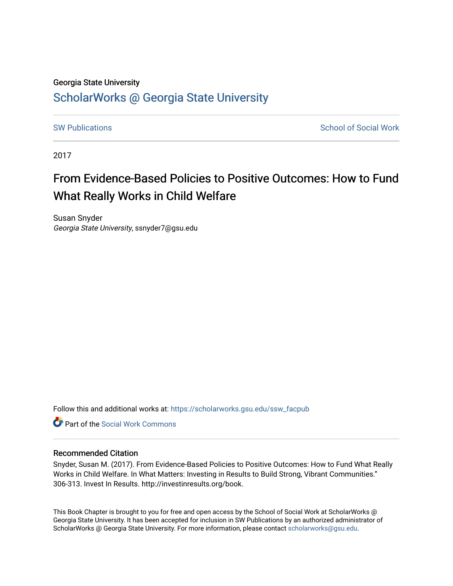#### Georgia State University

## [ScholarWorks @ Georgia State University](https://scholarworks.gsu.edu/)

[SW Publications](https://scholarworks.gsu.edu/ssw_facpub) **SW Publications** School of Social Work

2017

# From Evidence-Based Policies to Positive Outcomes: How to Fund What Really Works in Child Welfare

Susan Snyder Georgia State University, ssnyder7@gsu.edu

Follow this and additional works at: [https://scholarworks.gsu.edu/ssw\\_facpub](https://scholarworks.gsu.edu/ssw_facpub?utm_source=scholarworks.gsu.edu%2Fssw_facpub%2F80&utm_medium=PDF&utm_campaign=PDFCoverPages)

Part of the [Social Work Commons](http://network.bepress.com/hgg/discipline/713?utm_source=scholarworks.gsu.edu%2Fssw_facpub%2F80&utm_medium=PDF&utm_campaign=PDFCoverPages)

#### Recommended Citation

Snyder, Susan M. (2017). From Evidence-Based Policies to Positive Outcomes: How to Fund What Really Works in Child Welfare. In What Matters: Investing in Results to Build Strong, Vibrant Communities." 306-313. Invest In Results. http://investinresults.org/book.

This Book Chapter is brought to you for free and open access by the School of Social Work at ScholarWorks @ Georgia State University. It has been accepted for inclusion in SW Publications by an authorized administrator of ScholarWorks @ Georgia State University. For more information, please contact [scholarworks@gsu.edu](mailto:scholarworks@gsu.edu).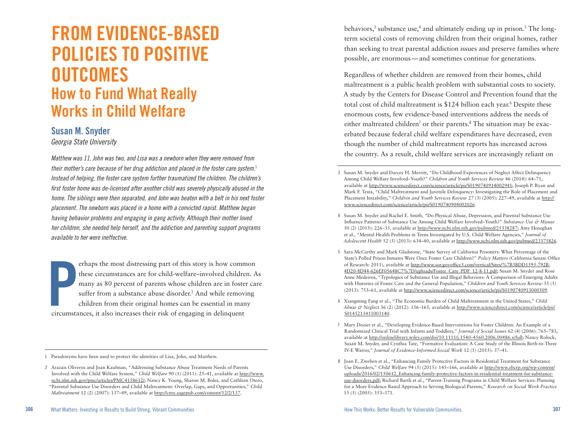# **FROM EVIDENCE-BASED POLICIES TO POSITIVE OUTCOMES How to Fund What Really Works in Child Welfare**

#### **Susan M. Snyder**

*Georgia State University*

*Matthew was 11, John was two, and Lisa was a newborn when they were removed from their mother's care because of her drug addiction and placed in the foster care system.*<sup>1</sup> *Instead of helping, the foster care system further traumatized the children. The children's first foster home was de-licensed after another child was severely physically abused in the home. The siblings were then separated, and John was beaten with a belt in his next foster placement. The newborn was placed in a home with a convicted rapist. Matthew began having behavior problems and engaging in gang activity. Although their mother loved her children, she needed help herself, and the addiction and parenting support programs available to her were ineffective.*

**P** erhaps the most distressing part of this story is how comm<br>these circumstances are for child-welfare–involved childre<br>many as 80 percent of parents whose children are in foste<br>suffer from a substance abuse disorder.<sup>2</sup> erhaps the most distressing part of this story is how common these circumstances are for child-welfare–involved children. As many as 80 percent of parents whose children are in foster care suffer from a substance abuse disorder.<sup>2</sup> And while removing children from their original homes can be essential in many

1 Pseudonyms have been used to protect the identities of Lisa, John, and Matthew.

behaviors,<sup>3</sup> substance use,<sup>4</sup> and ultimately ending up in prison.<sup>5</sup> The longterm societal costs of removing children from their original homes, rather than seeking to treat parental addiction issues and preserve families where possible, are enormous—and sometimes continue for generations.

Regardless of whether children are removed from their homes, child maltreatment is a public health problem with substantial costs to society. A study by the Centers for Disease Control and Prevention found that the total cost of child maltreatment is \$124 billion each year.<sup>6</sup> Despite these enormous costs, few evidence-based interventions address the needs of either maltreated children<sup>7</sup> or their parents.<sup>8</sup> The situation may be exacerbated because federal child welfare expenditures have decreased, even though the number of child maltreatment reports has increased across the country. As a result, child welfare services are increasingly reliant on

3 Susan M. Snyder and Darcey H. Merritt, "Do Childhood Experiences of Neglect Affect Delinquency Among Child Welfare Involved–Youth?" *Children and Youth Services Review* 46 (2014): 64–71, available at [http://www.sciencedirect.com/science/article/pii/S0190740914002941;](http://www.sciencedirect.com/science/article/pii/S0190740914002941) Joseph P. Ryan and Mark F. Testa, "Child Maltreatment and Juvenile Delinquency: Investigating the Role of Placement and Placement Instability," *Children and Youth Services Review* 27 (3) (2005): 227–49, available at [http://](http://www.sciencedirect.com/science/article/pii/S0190740904002026) [www.sciencedirect.com/science/article/pii/S0190740904002026.](http://www.sciencedirect.com/science/article/pii/S0190740904002026)

- 4 Susan M. Snyder and Rachel E. Smith, "Do Physical Abuse, Depression, and Parental Substance Use Influence Patterns of Substance Use Among Child Welfare Involved–Youth?" *Substance Use & Misuse* 50 (2) (2015): 226–35, available at <http://www.ncbi.nlm.nih.gov/pubmed/25338287>; Amy Heneghan et al., "Mental Health Problems in Teens Investigated by U.S. Child Welfare Agencies," *Journal of Adolescent Health* 52 (5) (2013): 634–40, available at<http://www.ncbi.nlm.nih.gov/pubmed/23375826>.
- 5 Sara McCarthy and Mark Gladstone, "State Survey of California Prisoners: What Percentage of the State's Polled Prison Inmates Were Once Foster Care Children?" *Policy Matters* (California Senate Office of Research: 2011), available at [http://www.sor.govoffice3.com/vertical/Sites/%7B3BDD1595-792B-](http://www.sor.govoffice3.com/vertical/Sites/%7B3BDD1595-792B-4D20-8D44-626EF05648C7%7D/uploads/Foster_Care_PDF_12-8-11.pdf)[4D20-8D44-626EF05648C7%7D/uploads/Foster\\_Care\\_PDF\\_12-8-11.pdf](http://www.sor.govoffice3.com/vertical/Sites/%7B3BDD1595-792B-4D20-8D44-626EF05648C7%7D/uploads/Foster_Care_PDF_12-8-11.pdf); Susan M. Snyder and Rose Anne Medeiros, "Typologies of Substance Use and Illegal Behaviors: A Comparison of Emerging Adults with Histories of Foster Care and the General Population," *Children and Youth Services Review* 35 (5) (2013): 753–61, available at <http://www.sciencedirect.com/science/article/pii/S0190740913000509>.
- 6 Xiangming Fang et al., "The Economic Burden of Child Maltreatment in the United States," *Child Abuse & Neglect* 36 (2) (2012): 156–165, available at [http://www.sciencedirect.com/science/article/pii/](http://www.sciencedirect.com/science/article/pii/S0145213411003140) [S0145213411003140](http://www.sciencedirect.com/science/article/pii/S0145213411003140).
- 7 Mary Dozier et al., "Developing Evidence-Based Interventions for Foster Children: An Example of a Randomized Clinical Trial with Infants and Toddlers," *Journal of Social Issues* 62 (4) (2006): 765–783, available at [http://onlinelibrary.wiley.com/doi/10.1111/j.1540–4560.2006.00486.x/full](http://onlinelibrary.wiley.com/doi/10.1111/j.1540-4560.2006.00486.x/full); Nancy Rolock, Susan M. Snyder, and Cynthia Tate, "Formative Evaluation: A Case Study of the Illinois Birth-to-Three IV-E Waiver," *Journal of Evidence-Informed Social Work* 12 (5) (2015): 37–41.

<sup>2</sup> Arazais Oliveros and Joan Kaufman, "Addressing Substance Abuse Treatment Needs of Parents Involved with the Child Welfare System," *Child Welfare* 90 (1) (2011): 25–41, available at [http://www.](http://www.ncbi.nlm.nih.gov/pmc/articles/PMC4158612/) [ncbi.nlm.nih.gov/pmc/articles/PMC4158612/](http://www.ncbi.nlm.nih.gov/pmc/articles/PMC4158612/); Nancy K. Young, Sharon M. Boles, and Cathleen Otero, "Parental Substance Use Disorders and Child Maltreatment: Overlap, Gaps, and Opportunities," *Child Maltreatment* 12 (2) (2007): 137–49, available at [http://cmx.sagepub.com/content/12/2/137.](http://cmx.sagepub.com/content/12/2/137)

<sup>8</sup> Joan E. Zweben et al., "Enhancing Family Protective Factors in Residential Treatment for Substance Use Disorders," *Child Welfare* 94 (5) (2015): 145–166, available at [http://www.ebcrp.org/wp-content/](http://www.ebcrp.org/wp-content/uploads/2016/02/150612_Enhancing-family-protective-factors-in-residential-treatment-for-substance-use-disorders.pdf) [uploads/2016/02/150612\\_Enhancing-family-protective-factors-in-residential-treatment-for-substance](http://www.ebcrp.org/wp-content/uploads/2016/02/150612_Enhancing-family-protective-factors-in-residential-treatment-for-substance-use-disorders.pdf)[use-disorders.pdf](http://www.ebcrp.org/wp-content/uploads/2016/02/150612_Enhancing-family-protective-factors-in-residential-treatment-for-substance-use-disorders.pdf); Richard Barth et al., "Parent-Training Programs in Child Welfare Services: Planning for a More Evidence-Based Approach to Serving Biological Parents," *Research on Social Work Practice*  15 (5) (2005): 353–371.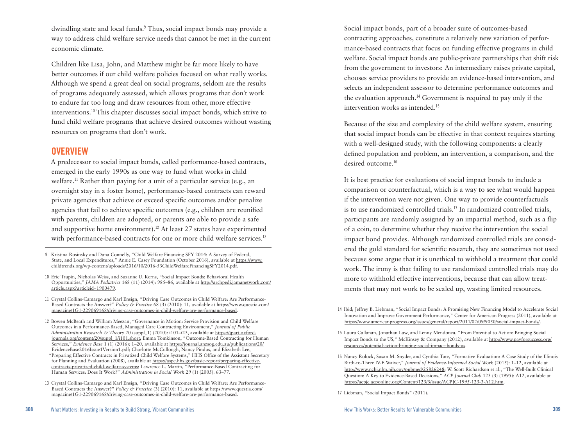dwindling state and local funds.<sup>9</sup> Thus, social impact bonds may provide a way to address child welfare service needs that cannot be met in the current economic climate.

Children like Lisa, John, and Matthew might be far more likely to have better outcomes if our child welfare policies focused on what really works. Although we spend a great deal on social programs, seldom are the results of programs adequately assessed, which allows programs that don't work to endure far too long and draw resources from other, more effective interventions.<sup>10</sup> This chapter discusses social impact bonds, which strive to fund child welfare programs that achieve desired outcomes without wasting resources on programs that don't work.

#### **OVERVIEW**

A predecessor to social impact bonds, called performance-based contracts, emerged in the early 1990s as one way to fund what works in child welfare.<sup>11</sup> Rather than paying for a unit of a particular service (e.g., an overnight stay in a foster home), performance-based contracts can reward private agencies that achieve or exceed specific outcomes and/or penalize agencies that fail to achieve specific outcomes (e.g., children are reunified with parents, children are adopted, or parents are able to provide a safe and supportive home environment).<sup>12</sup> At least 27 states have experimented with performance-based contracts for one or more child welfare services.<sup>13</sup>

- 9 Kristina Rosinsky and Dana Connelly, "Child Welfare Financing SFY 2014: A Survey of Federal, State, and Local Expenditures," Annie E. Casey Foundation (October 2016), available at [https://www.](https://www.childtrends.org/wp-content/uploads/2016/10/2016-53ChildWelfareFinancingSFY2014.pdf) [childtrends.org/wp-content/uploads/2016/10/2016-53ChildWelfareFinancingSFY2014.pdf.](https://www.childtrends.org/wp-content/uploads/2016/10/2016-53ChildWelfareFinancingSFY2014.pdf)
- 10 Eric Trupin, Nicholas Weiss, and Suzanne U. Kerns, "Social Impact Bonds: Behavioral Health Opportunities," *JAMA Pediatrics* 168 (11) (2014): 985–86, available at [http://archpedi.jamanetwork.com/](http://archpedi.jamanetwork.com/article.aspx?articleid=1900479) [article.aspx?articleid=1900479.](http://archpedi.jamanetwork.com/article.aspx?articleid=1900479)
- 11 Crystal Collins-Camargo and Karl Ensign, "Driving Case Outcomes in Child Welfare: Are Performance-Based Contracts the Answer?" *Policy & Practice* 68 (3) (2010): 11, available at [https://www.questia.com/](https://www.questia.com/magazine/1G1-229069168/driving-case-outcomes-in-child-welfare-are-performance-based) [magazine/1G1-229069168/driving-case-outcomes-in-child-welfare-are-performance-based.](https://www.questia.com/magazine/1G1-229069168/driving-case-outcomes-in-child-welfare-are-performance-based)
- 12 Bowen McBeath and William Meezan, "Governance in Motion: Service Provision and Child Welfare Outcomes in a Performance-Based, Managed Care Contracting Environment," *Journal of Public Administration Research & Theory* 20 (suppl\_1) (2010): i101–i23, available at [https://jpart.oxford](https://academic.oup.com/jpart/article-abstract/20/suppl_1/i101/926399/Governance-in-Motion-Service-Provision-and-Child)[journals.org/content/20/suppl\\_1/i101.short;](https://academic.oup.com/jpart/article-abstract/20/suppl_1/i101/926399/Governance-in-Motion-Service-Provision-and-Child) Emma Tomkinson, "Outcome-Based Contracting for Human Services," *Evidence Base* 1 (1) (2016): 1–20, available at [https://journal.anzsog.edu.au/publications/20/](https://journal.anzsog.edu.au/publications/20/EvidenceBase2016Issue1Version1.pdf) [EvidenceBase2016Issue1Version1.pdf](https://journal.anzsog.edu.au/publications/20/EvidenceBase2016Issue1Version1.pdf); Charlotte McCullough, Nancy Pindus, and Elizabeth Lee, "Preparing Effective Contracts in Privatized Child Welfare Systems," HHS Office of the Assistant Secretary for Planning and Evaluation (2008), available at [https://aspe.hhs.gov/basic-report/preparing-effective](https://aspe.hhs.gov/basic-report/preparing-effective-contracts-privatized-child-welfare-systems)[contracts-privatized-child-welfare-systems;](https://aspe.hhs.gov/basic-report/preparing-effective-contracts-privatized-child-welfare-systems) Lawrence L. Martin, "Performance-Based Contracting for Human Services: Does It Work?" *Administration in Social Work* 29 (1) (2005): 63–77.
- 13 Crystal Collins-Camargo and Karl Ensign, "Driving Case Outcomes in Child Welfare: Are Performance-Based Contracts the Answer?" *Policy & Practice* (3) (2010): 11, available at [https://www.questia.com/](https://www.questia.com/magazine/1G1-229069168/driving-case-outcomes-in-child-welfare-are-performance-based) [magazine/1G1-229069168/driving-case-outcomes-in-child-welfare-are-performance-based.](https://www.questia.com/magazine/1G1-229069168/driving-case-outcomes-in-child-welfare-are-performance-based)

Social impact bonds, part of a broader suite of outcomes-based contracting approaches, constitute a relatively new variation of performance-based contracts that focus on funding effective programs in child welfare. Social impact bonds are public-private partnerships that shift risk from the government to investors: An intermediary raises private capital, chooses service providers to provide an evidence-based intervention, and selects an independent assessor to determine performance outcomes and the evaluation approach.<sup>14</sup> Government is required to pay only if the intervention works as intended.<sup>15</sup>

Because of the size and complexity of the child welfare system, ensuring that social impact bonds can be effective in that context requires starting with a well-designed study, with the following components: a clearly defined population and problem, an intervention, a comparison, and the desired outcome.<sup>16</sup>

It is best practice for evaluations of social impact bonds to include a comparison or counterfactual, which is a way to see what would happen if the intervention were not given. One way to provide counterfactuals is to use randomized controlled trials.<sup>17</sup> In randomized controlled trials, participants are randomly assigned by an impartial method, such as a flip of a coin, to determine whether they receive the intervention the social impact bond provides. Although randomized controlled trials are considered the gold standard for scientific research, they are sometimes not used because some argue that it is unethical to withhold a treatment that could work. The irony is that failing to use randomized controlled trials may do more to withhold effective interventions, because that can allow treatments that may not work to be scaled up, wasting limited resources.

<sup>14</sup> Ibid; Jeffrey B. Liebman, "Social Impact Bonds: A Promising New Financing Model to Accelerate Social Innovation and Improve Government Performance," Center for American Progress (2011), available at [https://www.americanprogress.org/issues/general/report/2011/02/09/9050/social-impact-bonds/.](https://www.americanprogress.org/issues/general/report/2011/02/09/9050/social-impact-bonds/)

<sup>15</sup> Laura Callanan, Jonathan Law, and Lenny Mendonca, "From Potential to Action: Bringing Social Impact Bonds to the US," McKinsey & Company (2012), available at [http://www.payforsuccess.org/](https://www.payforsuccess.org/resources/potential-action-bringing-social-impact-bonds-us) [resources/potential-action-bringing-social-impact-bonds-us](https://www.payforsuccess.org/resources/potential-action-bringing-social-impact-bonds-us).

<sup>16</sup> Nancy Rolock, Susan M. Snyder, and Cynthia Tate, "Formative Evaluation: A Case Study of the Illinois Birth-to-Three IV-E Waiver," *Journal of Evidence-Informed Social Work* (2015): 1–12, available at [http://www.ncbi.nlm.nih.gov/pubmed/25826248;](http://www.ncbi.nlm.nih.gov/pubmed/25826248) W. Scott Richardson et al., "The Well-Built Clinical Question: A Key to Evidence-Based Decisions," *ACP Journal Club* 123 (3) (1995): A12, available at <https://acpjc.acponline.org/Content/123/3/issue/ACPJC-1995-123-3-A12.htm>.

<sup>17</sup> Liebman, "Social Impact Bonds" (2011).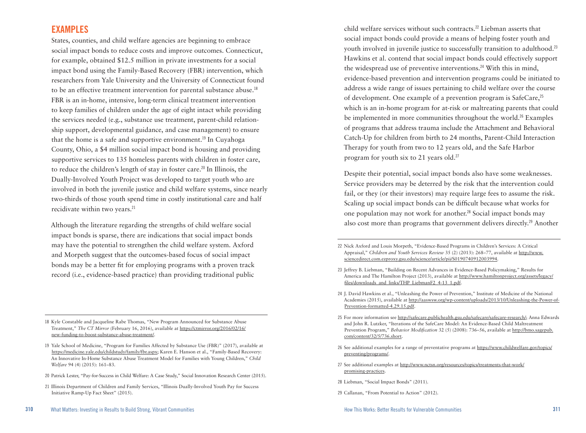#### **EXAMPLES**

States, counties, and child welfare agencies are beginning to embrace social impact bonds to reduce costs and improve outcomes. Connecticut, for example, obtained \$12.5 million in private investments for a social impact bond using the Family-Based Recovery (FBR) intervention, which researchers from Yale University and the University of Connecticut found to be an effective treatment intervention for parental substance abuse.<sup>18</sup> FBR is an in-home, intensive, long-term clinical treatment intervention to keep families of children under the age of eight intact while providing the services needed (e.g., substance use treatment, parent-child relationship support, developmental guidance, and case management) to ensure that the home is a safe and supportive environment.<sup>19</sup> In Cuyahoga County, Ohio, a \$4 million social impact bond is housing and providing supportive services to 135 homeless parents with children in foster care, to reduce the children's length of stay in foster care.<sup>20</sup> In Illinois, the Dually-Involved Youth Project was developed to target youth who are involved in both the juvenile justice and child welfare systems, since nearly two-thirds of those youth spend time in costly institutional care and half recidivate within two years.<sup>21</sup>

Although the literature regarding the strengths of child welfare social impact bonds is sparse, there are indications that social impact bonds may have the potential to strengthen the child welfare system. Axford and Morpeth suggest that the outcomes-based focus of social impact bonds may be a better fit for employing programs with a proven track record (i.e., evidence-based practice) than providing traditional public

18 Kyle Constable and Jacqueline Rabe Thomas, "New Program Announced for Substance Abuse Treatment," *The CT Mirror* (February 16, 2016), available at [https://ctmirror.org/2016/02/16/](https://ctmirror.org/2016/02/16/new-funding-to-boost-substance-abuse-treatment/) [new-funding-to-boost-substance-abuse-treatment/.](https://ctmirror.org/2016/02/16/new-funding-to-boost-substance-abuse-treatment/)

19 Yale School of Medicine, "Program for Families Affected by Substance Use (FBR)" (2017), available at [https://medicine.yale.edu/childstudy/family/fbr.aspx]( http://blog.okfn.org/2011/03/31/building-the-open-data-ecosystem/); Karen E. Hanson et al., "Family-Based Recovery: An Innovative In-Home Substance Abuse Treatment Model for Families with Young Children," *Child Welfare* 94 (4) (2015): 161–83.

- 20 Patrick Lester, "Pay-for-Success in Child Welfare: A Case Study," Social Innovation Research Center (2015).
- 21 Illinois Department of Children and Family Services, "Illinois Dually-Involved Youth Pay for Success Initiative Ramp-Up Fact Sheet" (2015).

child welfare services without such contracts.<sup>22</sup> Liebman asserts that social impact bonds could provide a means of helping foster youth and youth involved in juvenile justice to successfully transition to adulthood.<sup>23</sup> Hawkins et al. contend that social impact bonds could effectively support the widespread use of preventive interventions.<sup>24</sup> With this in mind, evidence-based prevention and intervention programs could be initiated to address a wide range of issues pertaining to child welfare over the course of development. One example of a prevention program is SafeCare,<sup>25</sup> which is an in-home program for at-risk or maltreating parents that could be implemented in more communities throughout the world.<sup>26</sup> Examples of programs that address trauma include the Attachment and Behavioral Catch-Up for children from birth to 24 months, Parent-Child Interaction Therapy for youth from two to 12 years old, and the Safe Harbor program for youth six to 21 years old.<sup>27</sup>

Despite their potential, social impact bonds also have some weaknesses. Service providers may be deterred by the risk that the intervention could fail, or they (or their investors) may require large fees to assume the risk. Scaling up social impact bonds can be difficult because what works for one population may not work for another.<sup>28</sup> Social impact bonds may also cost more than programs that government delivers directly.<sup>29</sup> Another

- 24 J. David Hawkins et al., "Unleashing the Power of Prevention," Institute of Medicine of the National Academies (2015), available at [http://aaswsw.org/wp-content/uploads/2013/10/Unleashing-the-Power-of-](http://aaswsw.org/wp-content/uploads/2013/10/Unleashing-the-Power-of-Prevention-formatted-4.29.15.pdf)[Prevention-formatted-4.29.15.pdf](http://aaswsw.org/wp-content/uploads/2013/10/Unleashing-the-Power-of-Prevention-formatted-4.29.15.pdf).
- 25 For more information see<http://safecare.publichealth.gsu.edu/safecare/safecare-research/>; Anna Edwards and John R. Lutzker, "Iterations of the SafeCare Model: An Evidence-Based Child Maltreatment Prevention Program," *Behavior Modification* 32 (5) (2008): 736–56, available at [http://bmo.sagepub.](http://bmo.sagepub.com/content/32/5/736.short) [com/content/32/5/736.short](http://bmo.sagepub.com/content/32/5/736.short).
- 26 See additional examples for a range of preventative programs at [https://www.childwelfare.gov/topics/](https://www.childwelfare.gov/topics/preventing/programs/) [preventing/programs/.](https://www.childwelfare.gov/topics/preventing/programs/)
- 27 See additional examples at [http://www.nctsn.org/resources/topics/treatments-that-work/](http://www.nctsn.org/resources/topics/treatments-that-work/promising-practices) [promising-practices](http://www.nctsn.org/resources/topics/treatments-that-work/promising-practices).
- 28 Liebman, "Social Impact Bonds" (2011).
- 29 Callanan, "From Potential to Action" (2012).

<sup>22</sup> Nick Axford and Louis Morpeth, "Evidence-Based Programs in Children's Services: A Critical Appraisal," *Children and Youth Services Review* 35 (2) (2013): 268–77, available at [http://www.](http://www.sciencedirect.com.ezproxy.gsu.edu/science/article/pii/S0190740912003994) [sciencedirect.com.ezproxy.gsu.edu/science/article/pii/S0190740912003994.](http://www.sciencedirect.com.ezproxy.gsu.edu/science/article/pii/S0190740912003994)

<sup>23</sup> Jeffrey B. Liebman, "Building on Recent Advances in Evidence-Based Policymaking," Results for America and The Hamilton Project (2013), available at [http://www.hamiltonproject.org/assets/legacy/](http://www.hamiltonproject.org/assets/legacy/files/downloads_and_links/THP_LiebmanF2_4-13_1.pdf) [files/downloads\\_and\\_links/THP\\_LiebmanF2\\_4-13\\_1.pdf.](http://www.hamiltonproject.org/assets/legacy/files/downloads_and_links/THP_LiebmanF2_4-13_1.pdf)